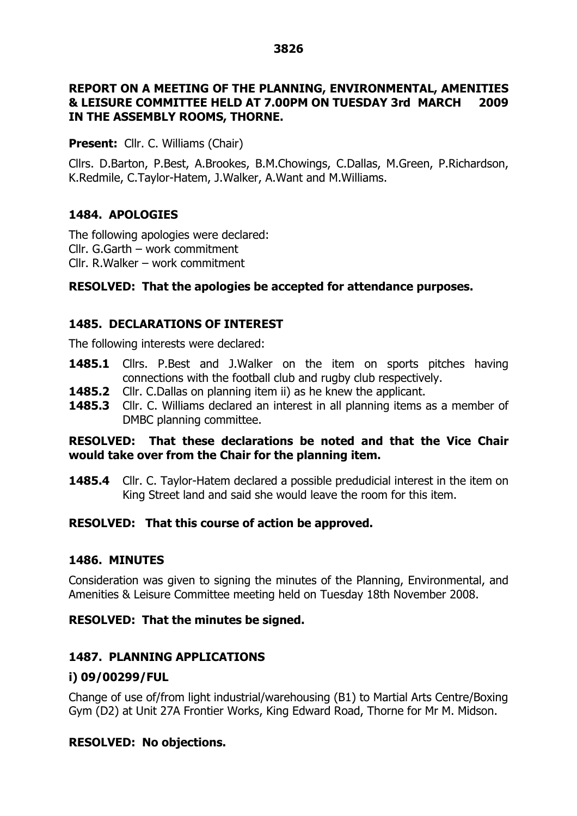#### **REPORT ON A MEETING OF THE PLANNING, ENVIRONMENTAL, AMENITIES & LEISURE COMMITTEE HELD AT 7.00PM ON TUESDAY 3rd MARCH 2009 IN THE ASSEMBLY ROOMS, THORNE.**

**Present:** Cllr. C. Williams (Chair)

Cllrs. D.Barton, P.Best, A.Brookes, B.M.Chowings, C.Dallas, M.Green, P.Richardson, K.Redmile, C.Taylor-Hatem, J.Walker, A.Want and M.Williams.

# **1484. APOLOGIES**

The following apologies were declared: Cllr. G.Garth –work commitment Cllr. R.Walker –work commitment

### **RESOLVED: That the apologies be accepted for attendance purposes.**

### **1485. DECLARATIONS OF INTEREST**

The following interests were declared:

- 1485.1 Cllrs. P.Best and J.Walker on the item on sports pitches having connections with the football club and rugby club respectively.
- **1485.2** Cllr. C.Dallas on planning item ii) as he knew the applicant.
- **1485.3** Cllr. C. Williams declared an interest in all planning items as a member of DMBC planning committee.

#### **RESOLVED: That these declarations be noted and that the Vice Chair would take over from the Chair for the planning item.**

**1485.4** Cllr. C. Taylor-Hatem declared a possible predudicial interest in the item on King Street land and said she would leave the room for this item.

### **RESOLVED: That this course of action be approved.**

### **1486. MINUTES**

Consideration was given to signing the minutes of the Planning, Environmental, and Amenities & Leisure Committee meeting held on Tuesday 18th November 2008.

### **RESOLVED: That the minutes be signed.**

### **1487. PLANNING APPLICATIONS**

### **i) 09/00299/FUL**

Change of use of/from light industrial/warehousing (B1) to Martial Arts Centre/Boxing Gym (D2) at Unit 27A Frontier Works, King Edward Road, Thorne for Mr M. Midson.

### **RESOLVED: No objections.**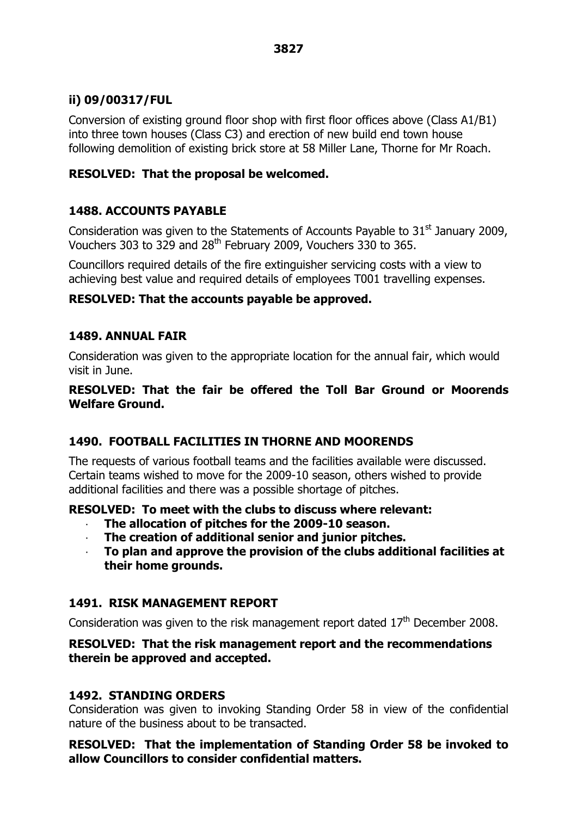# **ii) 09/00317/FUL**

Conversion of existing ground floor shop with first floor offices above (Class A1/B1) into three town houses (Class C3) and erection of new build end town house following demolition of existing brick store at 58 Miller Lane, Thorne for Mr Roach.

## **RESOLVED: That the proposal be welcomed.**

# **1488. ACCOUNTS PAYABLE**

Consideration was given to the Statements of Accounts Payable to  $31<sup>st</sup>$  January 2009, Vouchers 303 to 329 and 28<sup>th</sup> February 2009, Vouchers 330 to 365.

Councillors required details of the fire extinguisher servicing costs with a view to achieving best value and required details of employees T001 travelling expenses.

## **RESOLVED: That the accounts payable be approved.**

## **1489. ANNUAL FAIR**

Consideration was given to the appropriate location for the annual fair, which would visit in June.

### **RESOLVED: That the fair be offered the Toll Bar Ground or Moorends Welfare Ground.**

# **1490. FOOTBALL FACILITIES IN THORNE AND MOORENDS**

The requests of various football teams and the facilities available were discussed. Certain teams wished to move for the 2009-10 season, others wished to provide additional facilities and there was a possible shortage of pitches.

### **RESOLVED: To meet with the clubs to discuss where relevant:**

- The allocation of pitches for the 2009-10 season.
- · **The creation of additional senior and junior pitches.**
- · **To plan and approve the provision of the clubs additional facilities at their home grounds.**

# **1491. RISK MANAGEMENT REPORT**

Consideration was given to the risk management report dated  $17<sup>th</sup>$  December 2008.

### **RESOLVED: That the risk management report and the recommendations therein be approved and accepted.**

# **1492. STANDING ORDERS**

Consideration was given to invoking Standing Order 58 in view of the confidential nature of the business about to be transacted.

**RESOLVED: That the implementation of Standing Order 58 be invoked to allow Councillors to consider confidential matters.**